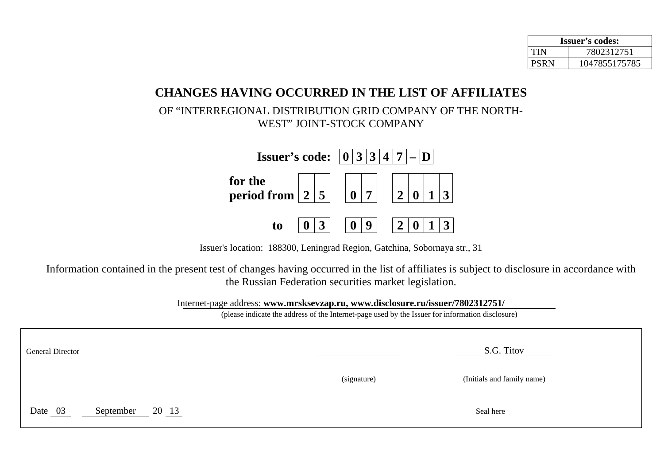| <b>Issuer's codes:</b> |               |  |  |
|------------------------|---------------|--|--|
| TIN                    | 7802312751    |  |  |
| <b>PSRN</b>            | 1047855175785 |  |  |

## **CHANGES HAVING OCCURRED IN THE LIST OF AFFILIATES**

OF "INTERREGIONAL DISTRIBUTION GRID COMPANY OF THE NORTH-WEST" JOINT-STOCK COMPANY



Issuer's location: 188300, Leningrad Region, Gatchina, Sobornaya str., 31

Information contained in the present test of changes having occurred in the list of affiliates is subject to disclosure in accordance with the Russian Federation securities market legislation.

Internet-page address: **www.mrsksevzap.ru, www.disclosure.ru/issuer/7802312751/** 

(please indicate the address of the Internet-page used by the Issuer for information disclosure)

| General Director                         |             | S.G. Titov                 |
|------------------------------------------|-------------|----------------------------|
|                                          | (signature) | (Initials and family name) |
| Date 03<br>$20\frac{13}{ }$<br>September |             | Seal here                  |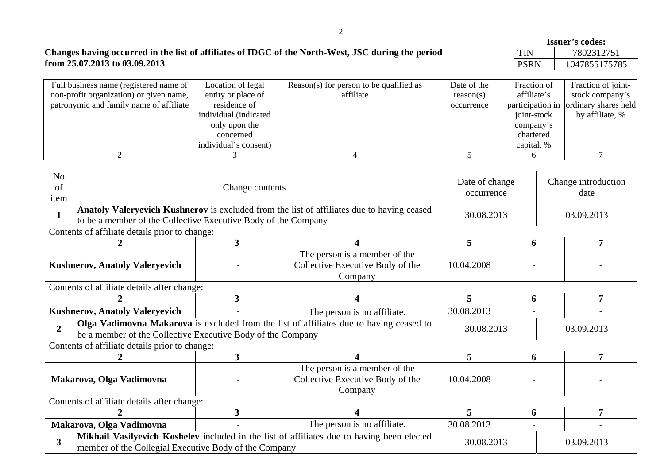|                                   |             | <b>Issuer's codes:</b> |  |  |
|-----------------------------------|-------------|------------------------|--|--|
| North-West, JSC during the period | <b>TIN</b>  | 7802312751             |  |  |
|                                   | <b>PSRN</b> | 1047855175785          |  |  |

## **Changes having occurred in the list of affiliates of IDGC of the North-West, JSC during the period from 25.07.2013 to 03.09.2013**

| Full business name (registered name of  | Location of legal      | Reason(s) for person to be qualified as | Date of the | Fraction of | Fraction of joint-                    |
|-----------------------------------------|------------------------|-----------------------------------------|-------------|-------------|---------------------------------------|
| non-profit organization) or given name, | entity or place of     | affiliate                               | reason(s)   | affiliate's | stock company's                       |
| patronymic and family name of affiliate | residence of           |                                         | occurrence  |             | participation in ordinary shares held |
|                                         | individual (indicated) |                                         |             | joint-stock | by affiliate, %                       |
|                                         | only upon the          |                                         |             | company's   |                                       |
|                                         | concerned              |                                         |             | chartered   |                                       |
|                                         | individual's consent)  |                                         |             | capital, %  |                                       |
|                                         |                        |                                         |             |             |                                       |

| N <sub>o</sub><br>of<br>item                                                                                                                                                   |                                                                                                                                                              | Date of change<br>occurrence                                                 |                                                                              | Change introduction<br>date |            |            |  |  |
|--------------------------------------------------------------------------------------------------------------------------------------------------------------------------------|--------------------------------------------------------------------------------------------------------------------------------------------------------------|------------------------------------------------------------------------------|------------------------------------------------------------------------------|-----------------------------|------------|------------|--|--|
| $\mathbf{1}$                                                                                                                                                                   | Anatoly Valeryevich Kushnerov is excluded from the list of affiliates due to having ceased<br>to be a member of the Collective Executive Body of the Company |                                                                              | 30.08.2013                                                                   |                             | 03.09.2013 |            |  |  |
|                                                                                                                                                                                | Contents of affiliate details prior to change:                                                                                                               |                                                                              |                                                                              |                             |            |            |  |  |
|                                                                                                                                                                                | $\overline{\mathbf{3}}$<br>5<br>7<br>6                                                                                                                       |                                                                              |                                                                              |                             |            |            |  |  |
|                                                                                                                                                                                | <b>Kushnerov, Anatoly Valeryevich</b>                                                                                                                        |                                                                              | The person is a member of the<br>Collective Executive Body of the<br>Company | 10.04.2008                  |            |            |  |  |
|                                                                                                                                                                                | Contents of affiliate details after change:                                                                                                                  |                                                                              |                                                                              |                             |            |            |  |  |
|                                                                                                                                                                                |                                                                                                                                                              | $\overline{\mathbf{3}}$                                                      |                                                                              | 5                           | 6          | 7          |  |  |
|                                                                                                                                                                                | <b>Kushnerov, Anatoly Valeryevich</b><br>The person is no affiliate.<br>$\overline{\phantom{a}}$                                                             |                                                                              |                                                                              | 30.08.2013                  |            |            |  |  |
| Olga Vadimovna Makarova is excluded from the list of affiliates due to having ceased to<br>$\overline{2}$<br>be a member of the Collective Executive Body of the Company       |                                                                                                                                                              | 30.08.2013                                                                   |                                                                              | 03.09.2013                  |            |            |  |  |
|                                                                                                                                                                                | Contents of affiliate details prior to change:                                                                                                               |                                                                              |                                                                              |                             |            |            |  |  |
|                                                                                                                                                                                |                                                                                                                                                              | 3                                                                            |                                                                              | 5                           | 6          | 7          |  |  |
| Makarova, Olga Vadimovna                                                                                                                                                       |                                                                                                                                                              | The person is a member of the<br>Collective Executive Body of the<br>Company | 10.04.2008                                                                   |                             |            |            |  |  |
| Contents of affiliate details after change:                                                                                                                                    |                                                                                                                                                              |                                                                              |                                                                              |                             |            |            |  |  |
|                                                                                                                                                                                |                                                                                                                                                              | $\overline{\mathbf{3}}$                                                      |                                                                              | 5                           | 6          | 7          |  |  |
|                                                                                                                                                                                | Makarova, Olga Vadimovna                                                                                                                                     |                                                                              | The person is no affiliate.                                                  | 30.08.2013                  |            |            |  |  |
| Mikhail Vasilyevich Koshelev included in the list of affiliates due to having been elected<br>$\overline{\mathbf{3}}$<br>member of the Collegial Executive Body of the Company |                                                                                                                                                              |                                                                              |                                                                              | 30.08.2013                  |            | 03.09.2013 |  |  |